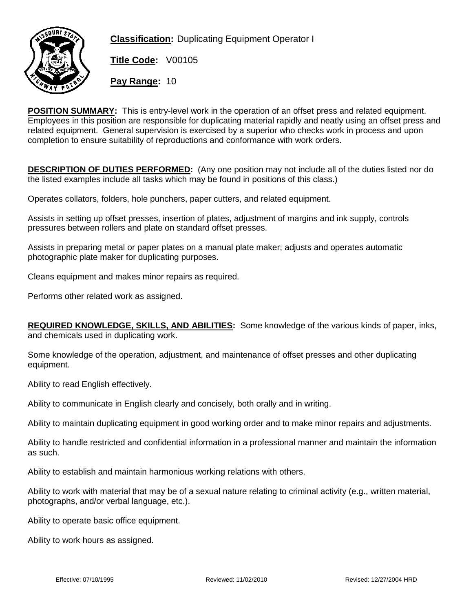

**Classification:** Duplicating Equipment Operator I

**Title Code:** V00105

**Pay Range:** 10

**POSITION SUMMARY:** This is entry-level work in the operation of an offset press and related equipment. Employees in this position are responsible for duplicating material rapidly and neatly using an offset press and related equipment. General supervision is exercised by a superior who checks work in process and upon completion to ensure suitability of reproductions and conformance with work orders.

**DESCRIPTION OF DUTIES PERFORMED:** (Any one position may not include all of the duties listed nor do the listed examples include all tasks which may be found in positions of this class.)

Operates collators, folders, hole punchers, paper cutters, and related equipment.

Assists in setting up offset presses, insertion of plates, adjustment of margins and ink supply, controls pressures between rollers and plate on standard offset presses.

Assists in preparing metal or paper plates on a manual plate maker; adjusts and operates automatic photographic plate maker for duplicating purposes.

Cleans equipment and makes minor repairs as required.

Performs other related work as assigned.

**REQUIRED KNOWLEDGE, SKILLS, AND ABILITIES:** Some knowledge of the various kinds of paper, inks, and chemicals used in duplicating work.

Some knowledge of the operation, adjustment, and maintenance of offset presses and other duplicating equipment.

Ability to read English effectively.

Ability to communicate in English clearly and concisely, both orally and in writing.

Ability to maintain duplicating equipment in good working order and to make minor repairs and adjustments.

Ability to handle restricted and confidential information in a professional manner and maintain the information as such.

Ability to establish and maintain harmonious working relations with others.

Ability to work with material that may be of a sexual nature relating to criminal activity (e.g., written material, photographs, and/or verbal language, etc.).

Ability to operate basic office equipment.

Ability to work hours as assigned.